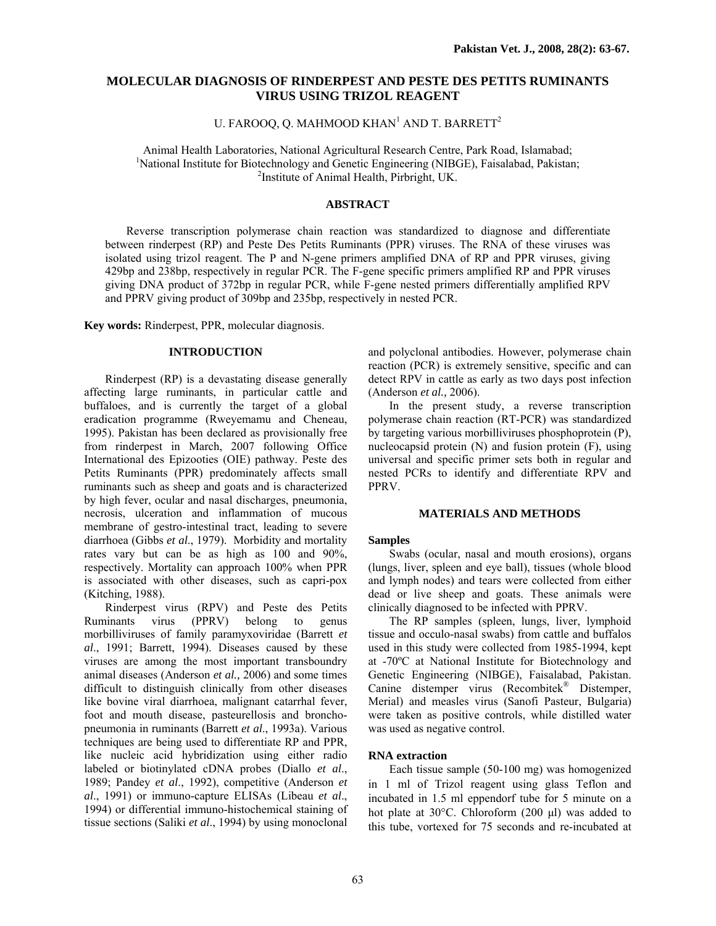# **MOLECULAR DIAGNOSIS OF RINDERPEST AND PESTE DES PETITS RUMINANTS VIRUS USING TRIZOL REAGENT**

U. FAROOQ, Q. MAHMOOD KHAN $^1$  AND T. BARRETT $^2$ 

Animal Health Laboratories, National Agricultural Research Centre, Park Road, Islamabad; <sup>1</sup>National Institute for Biotechnology and Genetic Engineering (NIBGE), Faisalabad, Pakistan; <sup>2</sup>Institute of Animal Health, Pirbright, UK.

## **ABSTRACT**

Reverse transcription polymerase chain reaction was standardized to diagnose and differentiate between rinderpest (RP) and Peste Des Petits Ruminants (PPR) viruses. The RNA of these viruses was isolated using trizol reagent. The P and N-gene primers amplified DNA of RP and PPR viruses, giving 429bp and 238bp, respectively in regular PCR. The F-gene specific primers amplified RP and PPR viruses giving DNA product of 372bp in regular PCR, while F-gene nested primers differentially amplified RPV and PPRV giving product of 309bp and 235bp, respectively in nested PCR.

**Key words:** Rinderpest, PPR, molecular diagnosis.

#### **INTRODUCTION**

Rinderpest (RP) is a devastating disease generally affecting large ruminants, in particular cattle and buffaloes, and is currently the target of a global eradication programme (Rweyemamu and Cheneau, 1995). Pakistan has been declared as provisionally free from rinderpest in March, 2007 following Office International des Epizooties (OIE) pathway. Peste des Petits Ruminants (PPR) predominately affects small ruminants such as sheep and goats and is characterized by high fever, ocular and nasal discharges, pneumonia, necrosis, ulceration and inflammation of mucous membrane of gestro-intestinal tract, leading to severe diarrhoea (Gibbs *et al*., 1979). Morbidity and mortality rates vary but can be as high as 100 and 90%, respectively. Mortality can approach 100% when PPR is associated with other diseases, such as capri-pox (Kitching, 1988).

Rinderpest virus (RPV) and Peste des Petits Ruminants virus (PPRV) belong to genus morbilliviruses of family paramyxoviridae (Barrett *et al*., 1991; Barrett, 1994). Diseases caused by these viruses are among the most important transboundry animal diseases (Anderson *et al.,* 2006) and some times difficult to distinguish clinically from other diseases like bovine viral diarrhoea, malignant catarrhal fever, foot and mouth disease, pasteurellosis and bronchopneumonia in ruminants (Barrett *et al*., 1993a). Various techniques are being used to differentiate RP and PPR, like nucleic acid hybridization using either radio labeled or biotinylated cDNA probes (Diallo *et al*., 1989; Pandey *et al*., 1992), competitive (Anderson *et al*., 1991) or immuno-capture ELISAs (Libeau *et al*., 1994) or differential immuno-histochemical staining of tissue sections (Saliki *et al*., 1994) by using monoclonal

and polyclonal antibodies. However, polymerase chain reaction (PCR) is extremely sensitive, specific and can detect RPV in cattle as early as two days post infection (Anderson *et al.,* 2006).

In the present study, a reverse transcription polymerase chain reaction (RT-PCR) was standardized by targeting various morbilliviruses phosphoprotein (P), nucleocapsid protein (N) and fusion protein (F), using universal and specific primer sets both in regular and nested PCRs to identify and differentiate RPV and PPRV.

# **MATERIALS AND METHODS**

# **Samples**

Swabs (ocular, nasal and mouth erosions), organs (lungs, liver, spleen and eye ball), tissues (whole blood and lymph nodes) and tears were collected from either dead or live sheep and goats. These animals were clinically diagnosed to be infected with PPRV.

The RP samples (spleen, lungs, liver, lymphoid tissue and occulo-nasal swabs) from cattle and buffalos used in this study were collected from 1985-1994, kept at -70ºC at National Institute for Biotechnology and Genetic Engineering (NIBGE), Faisalabad, Pakistan. Canine distemper virus (Recombitek® Distemper, Merial) and measles virus (Sanofi Pasteur, Bulgaria) were taken as positive controls, while distilled water was used as negative control.

#### **RNA extraction**

 Each tissue sample (50-100 mg) was homogenized in 1 ml of Trizol reagent using glass Teflon and incubated in 1.5 ml eppendorf tube for 5 minute on a hot plate at 30°C. Chloroform (200 µl) was added to this tube, vortexed for 75 seconds and re-incubated at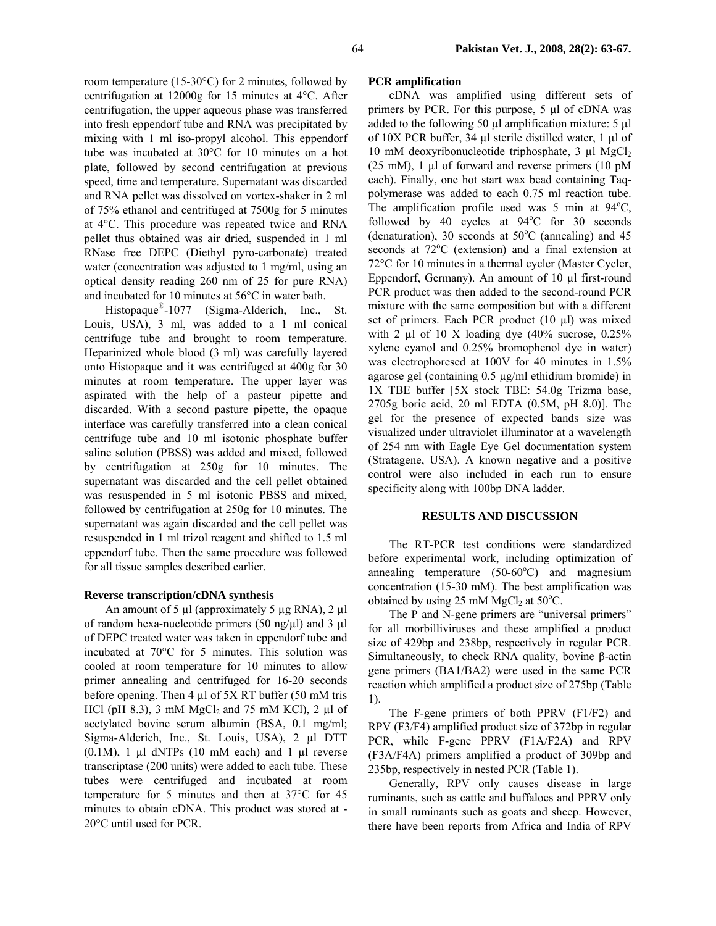room temperature (15-30°C) for 2 minutes, followed by centrifugation at 12000g for 15 minutes at 4°C. After centrifugation, the upper aqueous phase was transferred into fresh eppendorf tube and RNA was precipitated by mixing with 1 ml iso-propyl alcohol. This eppendorf tube was incubated at 30°C for 10 minutes on a hot plate, followed by second centrifugation at previous speed, time and temperature. Supernatant was discarded and RNA pellet was dissolved on vortex-shaker in 2 ml of 75% ethanol and centrifuged at 7500g for 5 minutes at 4°C. This procedure was repeated twice and RNA pellet thus obtained was air dried, suspended in 1 ml RNase free DEPC (Diethyl pyro-carbonate) treated water (concentration was adjusted to 1 mg/ml, using an optical density reading 260 nm of 25 for pure RNA) and incubated for 10 minutes at 56°C in water bath.

Histopaque<sup>®</sup>-1077 (Sigma-Alderich, Inc., St. Louis, USA), 3 ml, was added to a 1 ml conical centrifuge tube and brought to room temperature. Heparinized whole blood (3 ml) was carefully layered onto Histopaque and it was centrifuged at 400g for 30 minutes at room temperature. The upper layer was aspirated with the help of a pasteur pipette and discarded. With a second pasture pipette, the opaque interface was carefully transferred into a clean conical centrifuge tube and 10 ml isotonic phosphate buffer saline solution (PBSS) was added and mixed, followed by centrifugation at 250g for 10 minutes. The supernatant was discarded and the cell pellet obtained was resuspended in 5 ml isotonic PBSS and mixed, followed by centrifugation at 250g for 10 minutes. The supernatant was again discarded and the cell pellet was resuspended in 1 ml trizol reagent and shifted to 1.5 ml eppendorf tube. Then the same procedure was followed for all tissue samples described earlier.

#### **Reverse transcription/cDNA synthesis**

An amount of 5  $\mu$ l (approximately 5  $\mu$ g RNA), 2  $\mu$ l of random hexa-nucleotide primers (50 ng/ $\mu$ l) and 3  $\mu$ l of DEPC treated water was taken in eppendorf tube and incubated at 70°C for 5 minutes. This solution was cooled at room temperature for 10 minutes to allow primer annealing and centrifuged for 16-20 seconds before opening. Then 4 µl of 5X RT buffer (50 mM tris HCl (pH 8.3), 3 mM MgCl<sub>2</sub> and 75 mM KCl), 2  $\mu$ l of acetylated bovine serum albumin (BSA, 0.1 mg/ml; Sigma-Alderich, Inc., St. Louis, USA), 2 µl DTT (0.1M), 1  $\mu$ l dNTPs (10 mM each) and 1  $\mu$ l reverse transcriptase (200 units) were added to each tube. These tubes were centrifuged and incubated at room temperature for 5 minutes and then at 37°C for 45 minutes to obtain cDNA. This product was stored at - 20°C until used for PCR.

## **PCR amplification**

 cDNA was amplified using different sets of primers by PCR. For this purpose, 5 µl of cDNA was added to the following 50 µl amplification mixture: 5 µl of 10X PCR buffer, 34 µl sterile distilled water, 1 µl of 10 mM deoxyribonucleotide triphosphate,  $3 \text{ ul } \text{MgCl}_2$ (25 mM), 1 µl of forward and reverse primers (10 pM each). Finally, one hot start wax bead containing Taqpolymerase was added to each 0.75 ml reaction tube. The amplification profile used was  $5$  min at  $94^{\circ}$ C, followed by 40 cycles at  $94^{\circ}$ C for 30 seconds (denaturation), 30 seconds at  $50^{\circ}$ C (annealing) and 45 seconds at 72°C (extension) and a final extension at 72°C for 10 minutes in a thermal cycler (Master Cycler, Eppendorf, Germany). An amount of 10 µl first-round PCR product was then added to the second-round PCR mixture with the same composition but with a different set of primers. Each PCR product (10 µl) was mixed with 2  $\mu$ l of 10 X loading dye (40% sucrose, 0.25% xylene cyanol and 0.25% bromophenol dye in water) was electrophoresed at 100V for 40 minutes in 1.5% agarose gel (containing 0.5 µg/ml ethidium bromide) in 1X TBE buffer [5X stock TBE: 54.0g Trizma base, 2705g boric acid, 20 ml EDTA (0.5M, pH 8.0)]. The gel for the presence of expected bands size was visualized under ultraviolet illuminator at a wavelength of 254 nm with Eagle Eye Gel documentation system (Stratagene, USA). A known negative and a positive control were also included in each run to ensure specificity along with 100bp DNA ladder.

# **RESULTS AND DISCUSSION**

The RT-PCR test conditions were standardized before experimental work, including optimization of annealing temperature  $(50-60^{\circ}C)$  and magnesium concentration (15-30 mM). The best amplification was obtained by using 25 mM  $MgCl<sub>2</sub>$  at 50°C.

The P and N-gene primers are "universal primers" for all morbilliviruses and these amplified a product size of 429bp and 238bp, respectively in regular PCR. Simultaneously, to check RNA quality, bovine β-actin gene primers (BA1/BA2) were used in the same PCR reaction which amplified a product size of 275bp (Table 1).

The F-gene primers of both PPRV (F1/F2) and RPV (F3/F4) amplified product size of 372bp in regular PCR, while F-gene PPRV (F1A/F2A) and RPV (F3A/F4A) primers amplified a product of 309bp and 235bp, respectively in nested PCR (Table 1).

Generally, RPV only causes disease in large ruminants, such as cattle and buffaloes and PPRV only in small ruminants such as goats and sheep. However, there have been reports from Africa and India of RPV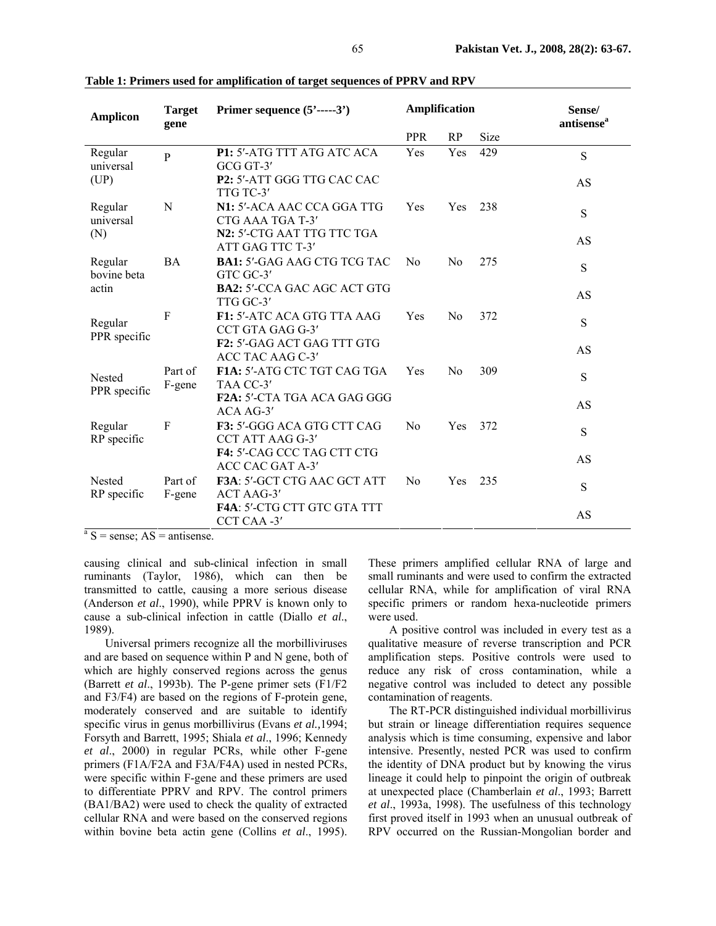| <b>Amplicon</b>                                | <b>Target</b><br>gene | Primer sequence $(5'$ -----3')                               | <b>Amplification</b> |                |      | Sense/<br>antisense <sup>a</sup> |
|------------------------------------------------|-----------------------|--------------------------------------------------------------|----------------------|----------------|------|----------------------------------|
|                                                |                       |                                                              | <b>PPR</b>           | RP             | Size |                                  |
| Regular<br>universal<br>(UP)                   | $\overline{P}$        | P1: 5'-ATG TTT ATG ATC ACA<br>GCG GT-3'                      | Yes                  | Yes            | 429  | S                                |
|                                                |                       | P2: 5'-ATT GGG TTG CAC CAC<br>TTG TC-3'                      |                      |                |      | AS                               |
| Regular<br>universal<br>(N)                    | N                     | N1: 5'-ACA AAC CCA GGA TTG<br>CTG AAA TGA T-3'               | Yes                  | Yes            | 238  | S                                |
|                                                |                       | N2: 5'-CTG AAT TTG TTC TGA<br>ATT GAG TTC T-3'               |                      |                |      | AS                               |
| Regular<br>bovine beta<br>actin                | <b>BA</b>             | <b>BA1: 5'-GAG AAG CTG TCG TAC</b><br>GTC GC-3'              | N <sub>0</sub>       | N <sub>0</sub> | 275  | S                                |
|                                                |                       | <b>BA2: 5'-CCA GAC AGC ACT GTG</b><br>TTG GC-3'              |                      |                |      | AS                               |
| Regular<br>PPR specific                        | F                     | <b>F1: 5'-ATC ACA GTG TTA AAG</b><br>CCT GTA GAG G-3'        | Yes                  | N <sub>0</sub> | 372  | S                                |
|                                                |                       | <b>F2: 5'-GAG ACT GAG TTT GTG</b><br>ACC TAC AAG C-3'        |                      |                |      | AS                               |
| Nested<br>PPR specific                         | Part of<br>F-gene     | F1A: 5'-ATG CTC TGT CAG TGA<br>TAA CC-3'                     | Yes                  | N <sub>0</sub> | 309  | S                                |
|                                                |                       | F2A: 5'-CTA TGA ACA GAG GGG<br>ACA AG-3'                     |                      |                |      | AS                               |
| Regular<br>RP specific                         | F                     | <b>F3: 5'-GGG ACA GTG CTT CAG</b><br><b>CCT ATT AAG G-3'</b> | No                   | Yes            | 372  | S                                |
|                                                |                       | <b>F4: 5'-CAG CCC TAG CTT CTG</b><br>ACC CAC GAT A-3'        |                      |                |      | AS                               |
| <b>Nested</b><br>RP specific<br>$\overline{a}$ | Part of<br>F-gene     | F3A: 5'-GCT CTG AAC GCT ATT<br><b>ACT AAG-3'</b>             | N <sub>0</sub>       | Yes            | 235  | S                                |
|                                                |                       | F4A: 5'-CTG CTT GTC GTA TTT<br><b>CCT CAA-3'</b>             |                      |                |      | AS                               |

 **Table 1: Primers used for amplification of target sequences of PPRV and RPV** 

 $a<sup>a</sup>$  S = sense; AS = antisense.

causing clinical and sub-clinical infection in small ruminants (Taylor, 1986), which can then be transmitted to cattle, causing a more serious disease (Anderson *et al*., 1990), while PPRV is known only to cause a sub-clinical infection in cattle (Diallo *et al*., 1989).

Universal primers recognize all the morbilliviruses and are based on sequence within P and N gene, both of which are highly conserved regions across the genus (Barrett *et al*., 1993b). The P-gene primer sets (F1/F2 and F3/F4) are based on the regions of F-protein gene, moderately conserved and are suitable to identify specific virus in genus morbillivirus (Evans *et al.,*1994; Forsyth and Barrett, 1995; Shiala *et al*., 1996; Kennedy *et al*., 2000) in regular PCRs, while other F-gene primers (F1A/F2A and F3A/F4A) used in nested PCRs, were specific within F-gene and these primers are used to differentiate PPRV and RPV. The control primers (BA1/BA2) were used to check the quality of extracted cellular RNA and were based on the conserved regions within bovine beta actin gene (Collins *et al*., 1995).

These primers amplified cellular RNA of large and small ruminants and were used to confirm the extracted cellular RNA, while for amplification of viral RNA specific primers or random hexa-nucleotide primers were used.

A positive control was included in every test as a qualitative measure of reverse transcription and PCR amplification steps. Positive controls were used to reduce any risk of cross contamination, while a negative control was included to detect any possible contamination of reagents.

The RT-PCR distinguished individual morbillivirus but strain or lineage differentiation requires sequence analysis which is time consuming, expensive and labor intensive. Presently, nested PCR was used to confirm the identity of DNA product but by knowing the virus lineage it could help to pinpoint the origin of outbreak at unexpected place (Chamberlain *et al*., 1993; Barrett *et al*., 1993a, 1998). The usefulness of this technology first proved itself in 1993 when an unusual outbreak of RPV occurred on the Russian-Mongolian border and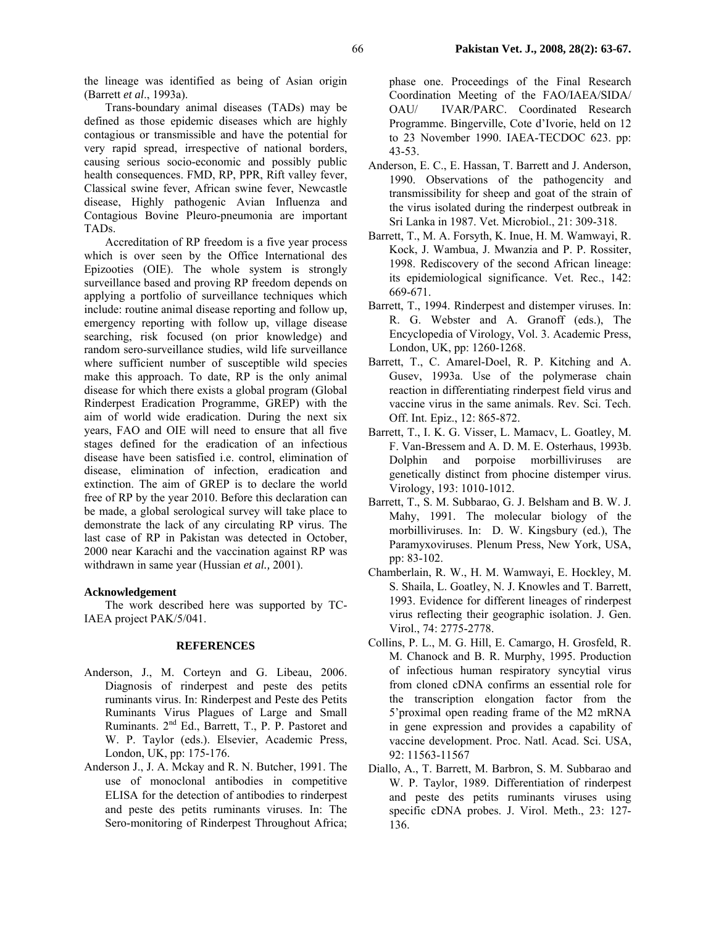the lineage was identified as being of Asian origin (Barrett *et al*., 1993a).

Trans-boundary animal diseases (TADs) may be defined as those epidemic diseases which are highly contagious or transmissible and have the potential for very rapid spread, irrespective of national borders, causing serious socio-economic and possibly public health consequences. FMD, RP, PPR, Rift valley fever, Classical swine fever, African swine fever, Newcastle disease, Highly pathogenic Avian Influenza and Contagious Bovine Pleuro-pneumonia are important TADs.

Accreditation of RP freedom is a five year process which is over seen by the Office International des Epizooties (OIE). The whole system is strongly surveillance based and proving RP freedom depends on applying a portfolio of surveillance techniques which include: routine animal disease reporting and follow up, emergency reporting with follow up, village disease searching, risk focused (on prior knowledge) and random sero-surveillance studies, wild life surveillance where sufficient number of susceptible wild species make this approach. To date, RP is the only animal disease for which there exists a global program (Global Rinderpest Eradication Programme, GREP) with the aim of world wide eradication. During the next six years, FAO and OIE will need to ensure that all five stages defined for the eradication of an infectious disease have been satisfied i.e. control, elimination of disease, elimination of infection, eradication and extinction. The aim of GREP is to declare the world free of RP by the year 2010. Before this declaration can be made, a global serological survey will take place to demonstrate the lack of any circulating RP virus. The last case of RP in Pakistan was detected in October, 2000 near Karachi and the vaccination against RP was withdrawn in same year (Hussian *et al.,* 2001).

## **Acknowledgement**

The work described here was supported by TC-IAEA project PAK/5/041.

# **REFERENCES**

- Anderson, J., M. Corteyn and G. Libeau, 2006. Diagnosis of rinderpest and peste des petits ruminants virus. In: Rinderpest and Peste des Petits Ruminants Virus Plagues of Large and Small Ruminants. 2nd Ed., Barrett, T., P. P. Pastoret and W. P. Taylor (eds.). Elsevier, Academic Press, London, UK, pp: 175-176.
- Anderson J., J. A. Mckay and R. N. Butcher, 1991. The use of monoclonal antibodies in competitive ELISA for the detection of antibodies to rinderpest and peste des petits ruminants viruses. In: The Sero-monitoring of Rinderpest Throughout Africa;

phase one. Proceedings of the Final Research Coordination Meeting of the FAO/IAEA/SIDA/ OAU/ IVAR/PARC. Coordinated Research Programme. Bingerville, Cote d'Ivorie, held on 12 to 23 November 1990. IAEA-TECDOC 623. pp: 43-53.

- Anderson, E. C., E. Hassan, T. Barrett and J. Anderson, 1990. Observations of the pathogencity and transmissibility for sheep and goat of the strain of the virus isolated during the rinderpest outbreak in Sri Lanka in 1987. Vet. Microbiol., 21: 309-318.
- Barrett, T., M. A. Forsyth, K. Inue, H. M. Wamwayi, R. Kock, J. Wambua, J. Mwanzia and P. P. Rossiter, 1998. Rediscovery of the second African lineage: its epidemiological significance. Vet. Rec., 142: 669-671.
- Barrett, T., 1994. Rinderpest and distemper viruses. In: R. G. Webster and A. Granoff (eds.), The Encyclopedia of Virology, Vol. 3. Academic Press, London, UK, pp: 1260-1268.
- Barrett, T., C. Amarel-Doel, R. P. Kitching and A. Gusev, 1993a. Use of the polymerase chain reaction in differentiating rinderpest field virus and vaccine virus in the same animals. Rev. Sci. Tech. Off. Int. Epiz., 12: 865-872.
- Barrett, T., I. K. G. Visser, L. Mamacv, L. Goatley, M. F. Van-Bressem and A. D. M. E. Osterhaus, 1993b. Dolphin and porpoise morbilliviruses are genetically distinct from phocine distemper virus. Virology, 193: 1010-1012.
- Barrett, T., S. M. Subbarao, G. J. Belsham and B. W. J. Mahy, 1991. The molecular biology of the morbilliviruses. In: D. W. Kingsbury (ed.), The Paramyxoviruses. Plenum Press, New York, USA, pp: 83-102.
- Chamberlain, R. W., H. M. Wamwayi, E. Hockley, M. S. Shaila, L. Goatley, N. J. Knowles and T. Barrett, 1993. Evidence for different lineages of rinderpest virus reflecting their geographic isolation. J. Gen. Virol., 74: 2775-2778.
- Collins, P. L., M. G. Hill, E. Camargo, H. Grosfeld, R. M. Chanock and B. R. Murphy, 1995. Production of infectious human respiratory syncytial virus from cloned cDNA confirms an essential role for the transcription elongation factor from the 5'proximal open reading frame of the M2 mRNA in gene expression and provides a capability of vaccine development. Proc. Natl. Acad. Sci. USA, 92: 11563-11567
- Diallo, A., T. Barrett, M. Barbron, S. M. Subbarao and W. P. Taylor, 1989. Differentiation of rinderpest and peste des petits ruminants viruses using specific cDNA probes. J. Virol. Meth., 23: 127- 136.